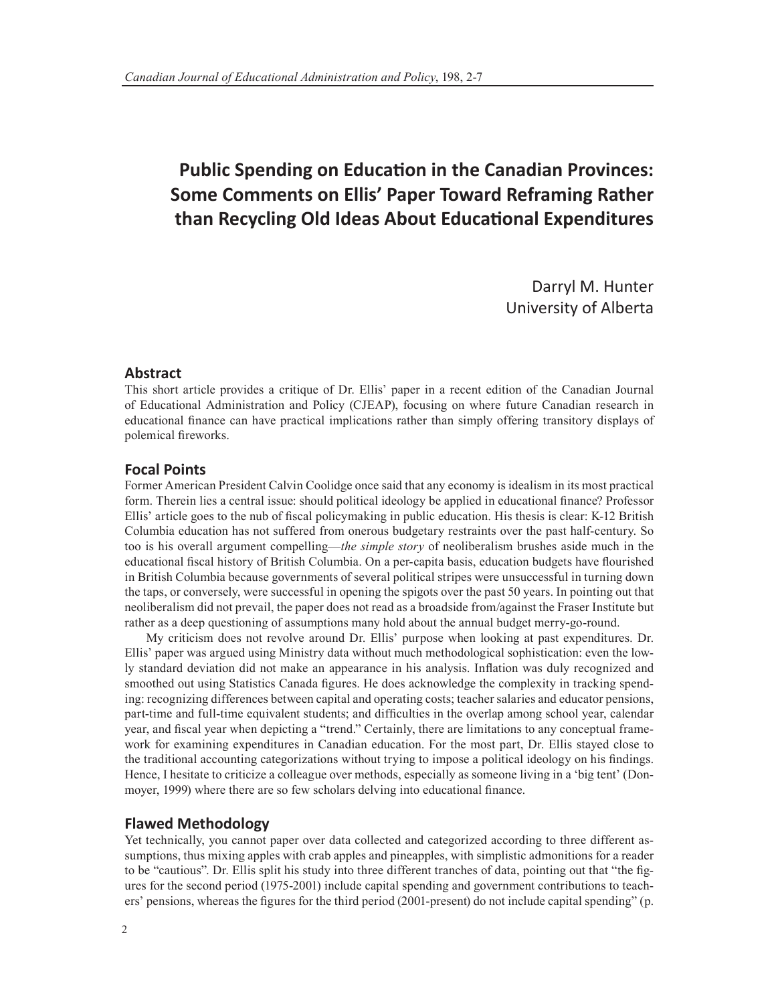# **Public Spending on Education in the Canadian Provinces: Some Comments on Ellis' Paper Toward Reframing Rather than Recycling Old Ideas About Educational Expenditures**

Darryl M. Hunter University of Alberta

## **Abstract**

This short article provides a critique of Dr. Ellis' paper in a recent edition of the Canadian Journal of Educational Administration and Policy (CJEAP), focusing on where future Canadian research in educational finance can have practical implications rather than simply offering transitory displays of polemical fireworks.

# **Focal Points**

Former American President Calvin Coolidge once said that any economy is idealism in its most practical form. Therein lies a central issue: should political ideology be applied in educational finance? Professor Ellis' article goes to the nub of fiscal policymaking in public education. His thesis is clear: K-12 British Columbia education has not suffered from onerous budgetary restraints over the past half-century. So too is his overall argument compelling—*the simple story* of neoliberalism brushes aside much in the educational fiscal history of British Columbia. On a per-capita basis, education budgets have flourished in British Columbia because governments of several political stripes were unsuccessful in turning down the taps, or conversely, were successful in opening the spigots over the past 50 years. In pointing out that neoliberalism did not prevail, the paper does not read as a broadside from/against the Fraser Institute but rather as a deep questioning of assumptions many hold about the annual budget merry-go-round.

My criticism does not revolve around Dr. Ellis' purpose when looking at past expenditures. Dr. Ellis' paper was argued using Ministry data without much methodological sophistication: even the lowly standard deviation did not make an appearance in his analysis. Inflation was duly recognized and smoothed out using Statistics Canada figures. He does acknowledge the complexity in tracking spending: recognizing differences between capital and operating costs; teacher salaries and educator pensions, part-time and full-time equivalent students; and difficulties in the overlap among school year, calendar year, and fiscal year when depicting a "trend." Certainly, there are limitations to any conceptual framework for examining expenditures in Canadian education. For the most part, Dr. Ellis stayed close to the traditional accounting categorizations without trying to impose a political ideology on his findings. Hence, I hesitate to criticize a colleague over methods, especially as someone living in a 'big tent' (Donmoyer, 1999) where there are so few scholars delving into educational finance.

## **Flawed Methodology**

Yet technically, you cannot paper over data collected and categorized according to three different assumptions, thus mixing apples with crab apples and pineapples, with simplistic admonitions for a reader to be "cautious". Dr. Ellis split his study into three different tranches of data, pointing out that "the figures for the second period (1975-2001) include capital spending and government contributions to teachers' pensions, whereas the figures for the third period (2001-present) do not include capital spending" (p.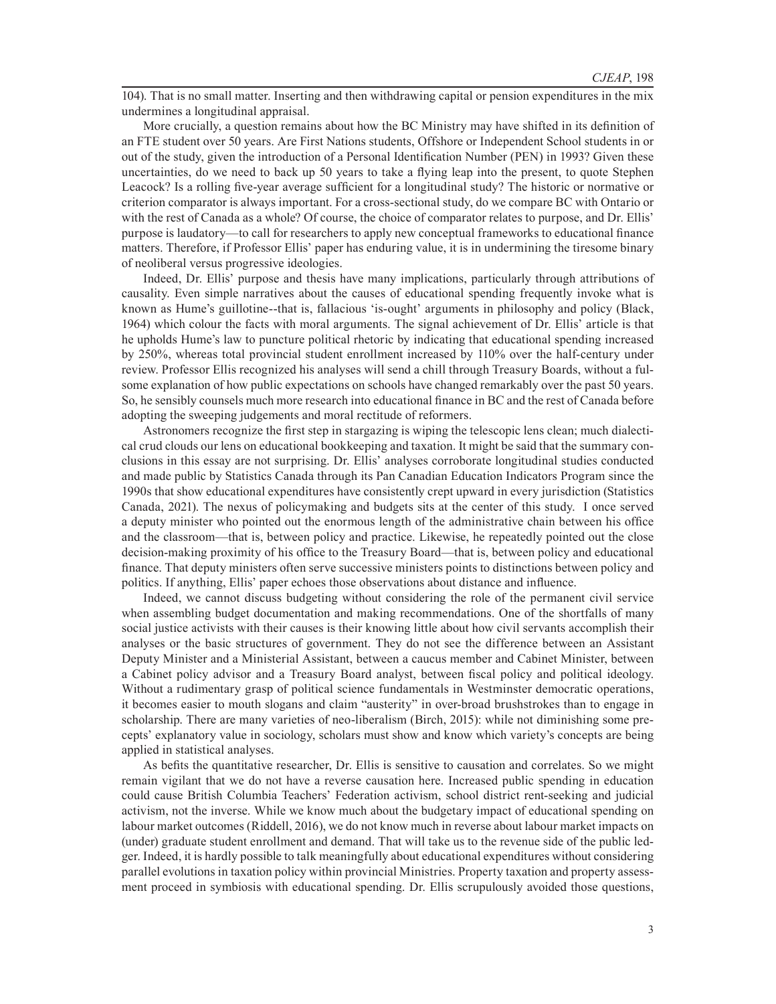104). That is no small matter. Inserting and then withdrawing capital or pension expenditures in the mix undermines a longitudinal appraisal.

More crucially, a question remains about how the BC Ministry may have shifted in its definition of an FTE student over 50 years. Are First Nations students, Offshore or Independent School students in or out of the study, given the introduction of a Personal Identification Number (PEN) in 1993? Given these uncertainties, do we need to back up 50 years to take a flying leap into the present, to quote Stephen Leacock? Is a rolling five-year average sufficient for a longitudinal study? The historic or normative or criterion comparator is always important. For a cross-sectional study, do we compare BC with Ontario or with the rest of Canada as a whole? Of course, the choice of comparator relates to purpose, and Dr. Ellis' purpose is laudatory—to call for researchers to apply new conceptual frameworks to educational finance matters. Therefore, if Professor Ellis' paper has enduring value, it is in undermining the tiresome binary of neoliberal versus progressive ideologies.

Indeed, Dr. Ellis' purpose and thesis have many implications, particularly through attributions of causality. Even simple narratives about the causes of educational spending frequently invoke what is known as Hume's guillotine--that is, fallacious 'is-ought' arguments in philosophy and policy (Black, 1964) which colour the facts with moral arguments. The signal achievement of Dr. Ellis' article is that he upholds Hume's law to puncture political rhetoric by indicating that educational spending increased by 250%, whereas total provincial student enrollment increased by 110% over the half-century under review. Professor Ellis recognized his analyses will send a chill through Treasury Boards, without a fulsome explanation of how public expectations on schools have changed remarkably over the past 50 years. So, he sensibly counsels much more research into educational finance in BC and the rest of Canada before adopting the sweeping judgements and moral rectitude of reformers.

Astronomers recognize the first step in stargazing is wiping the telescopic lens clean; much dialectical crud clouds our lens on educational bookkeeping and taxation. It might be said that the summary conclusions in this essay are not surprising. Dr. Ellis' analyses corroborate longitudinal studies conducted and made public by Statistics Canada through its Pan Canadian Education Indicators Program since the 1990s that show educational expenditures have consistently crept upward in every jurisdiction (Statistics Canada, 2021). The nexus of policymaking and budgets sits at the center of this study. I once served a deputy minister who pointed out the enormous length of the administrative chain between his office and the classroom—that is, between policy and practice. Likewise, he repeatedly pointed out the close decision-making proximity of his office to the Treasury Board—that is, between policy and educational finance. That deputy ministers often serve successive ministers points to distinctions between policy and politics. If anything, Ellis' paper echoes those observations about distance and influence.

Indeed, we cannot discuss budgeting without considering the role of the permanent civil service when assembling budget documentation and making recommendations. One of the shortfalls of many social justice activists with their causes is their knowing little about how civil servants accomplish their analyses or the basic structures of government. They do not see the difference between an Assistant Deputy Minister and a Ministerial Assistant, between a caucus member and Cabinet Minister, between a Cabinet policy advisor and a Treasury Board analyst, between fiscal policy and political ideology. Without a rudimentary grasp of political science fundamentals in Westminster democratic operations, it becomes easier to mouth slogans and claim "austerity" in over-broad brushstrokes than to engage in scholarship. There are many varieties of neo-liberalism (Birch, 2015): while not diminishing some precepts' explanatory value in sociology, scholars must show and know which variety's concepts are being applied in statistical analyses.

As befits the quantitative researcher, Dr. Ellis is sensitive to causation and correlates. So we might remain vigilant that we do not have a reverse causation here. Increased public spending in education could cause British Columbia Teachers' Federation activism, school district rent-seeking and judicial activism, not the inverse. While we know much about the budgetary impact of educational spending on labour market outcomes (Riddell, 2016), we do not know much in reverse about labour market impacts on (under) graduate student enrollment and demand. That will take us to the revenue side of the public ledger. Indeed, it is hardly possible to talk meaningfully about educational expenditures without considering parallel evolutions in taxation policy within provincial Ministries. Property taxation and property assessment proceed in symbiosis with educational spending. Dr. Ellis scrupulously avoided those questions,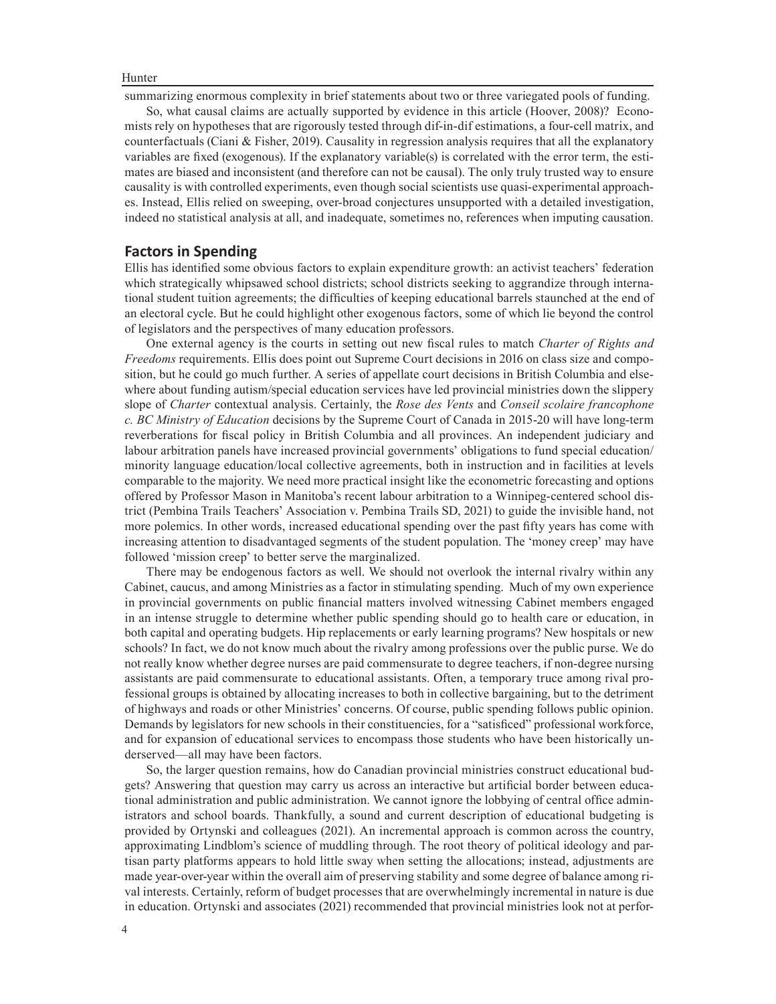#### Hunter

summarizing enormous complexity in brief statements about two or three variegated pools of funding.

So, what causal claims are actually supported by evidence in this article (Hoover, 2008)? Economists rely on hypotheses that are rigorously tested through dif-in-dif estimations, a four-cell matrix, and counterfactuals (Ciani & Fisher, 2019). Causality in regression analysis requires that all the explanatory variables are fixed (exogenous). If the explanatory variable(s) is correlated with the error term, the estimates are biased and inconsistent (and therefore can not be causal). The only truly trusted way to ensure causality is with controlled experiments, even though social scientists use quasi-experimental approaches. Instead, Ellis relied on sweeping, over-broad conjectures unsupported with a detailed investigation, indeed no statistical analysis at all, and inadequate, sometimes no, references when imputing causation.

## **Factors in Spending**

Ellis has identified some obvious factors to explain expenditure growth: an activist teachers' federation which strategically whipsawed school districts; school districts seeking to aggrandize through international student tuition agreements; the difficulties of keeping educational barrels staunched at the end of an electoral cycle. But he could highlight other exogenous factors, some of which lie beyond the control of legislators and the perspectives of many education professors.

One external agency is the courts in setting out new fiscal rules to match *Charter of Rights and Freedoms* requirements. Ellis does point out Supreme Court decisions in 2016 on class size and composition, but he could go much further. A series of appellate court decisions in British Columbia and elsewhere about funding autism/special education services have led provincial ministries down the slippery slope of *Charter* contextual analysis. Certainly, the *Rose des Vents* and *Conseil scolaire francophone c. BC Ministry of Education* decisions by the Supreme Court of Canada in 2015-20 will have long-term reverberations for fiscal policy in British Columbia and all provinces. An independent judiciary and labour arbitration panels have increased provincial governments' obligations to fund special education/ minority language education/local collective agreements, both in instruction and in facilities at levels comparable to the majority. We need more practical insight like the econometric forecasting and options offered by Professor Mason in Manitoba's recent labour arbitration to a Winnipeg-centered school district (Pembina Trails Teachers' Association v. Pembina Trails SD, 2021) to guide the invisible hand, not more polemics. In other words, increased educational spending over the past fifty years has come with increasing attention to disadvantaged segments of the student population. The 'money creep' may have followed 'mission creep' to better serve the marginalized.

There may be endogenous factors as well. We should not overlook the internal rivalry within any Cabinet, caucus, and among Ministries as a factor in stimulating spending. Much of my own experience in provincial governments on public financial matters involved witnessing Cabinet members engaged in an intense struggle to determine whether public spending should go to health care or education, in both capital and operating budgets. Hip replacements or early learning programs? New hospitals or new schools? In fact, we do not know much about the rivalry among professions over the public purse. We do not really know whether degree nurses are paid commensurate to degree teachers, if non-degree nursing assistants are paid commensurate to educational assistants. Often, a temporary truce among rival professional groups is obtained by allocating increases to both in collective bargaining, but to the detriment of highways and roads or other Ministries' concerns. Of course, public spending follows public opinion. Demands by legislators for new schools in their constituencies, for a "satisficed" professional workforce, and for expansion of educational services to encompass those students who have been historically underserved—all may have been factors.

So, the larger question remains, how do Canadian provincial ministries construct educational budgets? Answering that question may carry us across an interactive but artificial border between educational administration and public administration. We cannot ignore the lobbying of central office administrators and school boards. Thankfully, a sound and current description of educational budgeting is provided by Ortynski and colleagues (2021). An incremental approach is common across the country, approximating Lindblom's science of muddling through. The root theory of political ideology and partisan party platforms appears to hold little sway when setting the allocations; instead, adjustments are made year-over-year within the overall aim of preserving stability and some degree of balance among rival interests. Certainly, reform of budget processes that are overwhelmingly incremental in nature is due in education. Ortynski and associates (2021) recommended that provincial ministries look not at perfor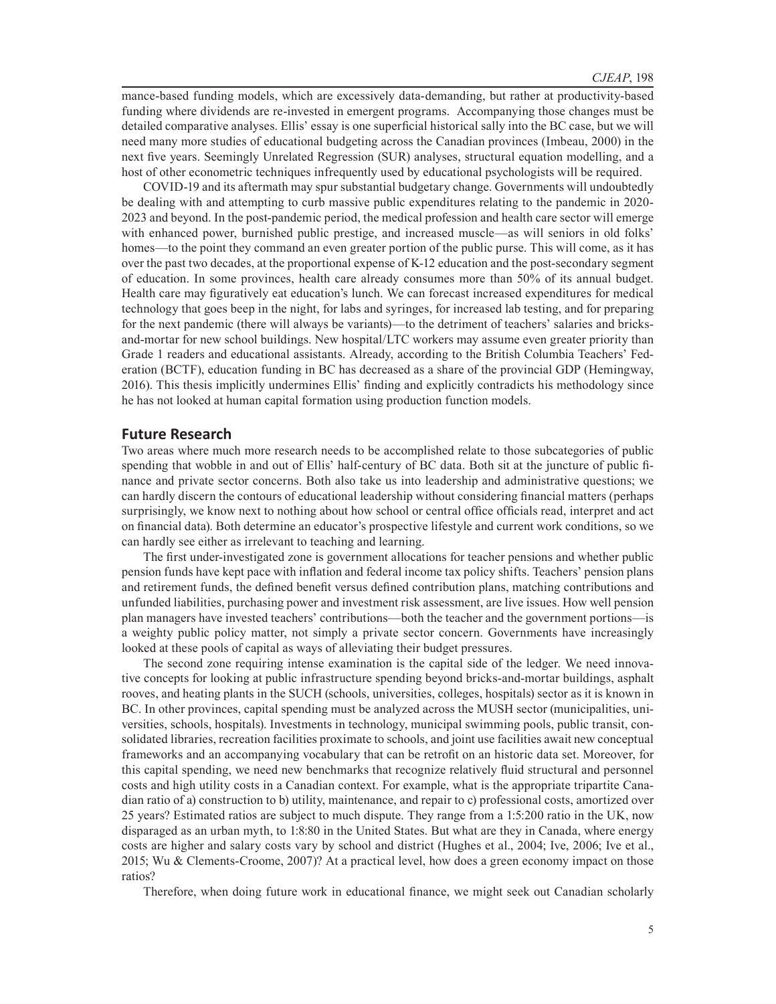mance-based funding models, which are excessively data-demanding, but rather at productivity-based funding where dividends are re-invested in emergent programs. Accompanying those changes must be detailed comparative analyses. Ellis' essay is one superficial historical sally into the BC case, but we will need many more studies of educational budgeting across the Canadian provinces (Imbeau, 2000) in the next five years. Seemingly Unrelated Regression (SUR) analyses, structural equation modelling, and a host of other econometric techniques infrequently used by educational psychologists will be required.

COVID-19 and its aftermath may spur substantial budgetary change. Governments will undoubtedly be dealing with and attempting to curb massive public expenditures relating to the pandemic in 2020- 2023 and beyond. In the post-pandemic period, the medical profession and health care sector will emerge with enhanced power, burnished public prestige, and increased muscle—as will seniors in old folks' homes—to the point they command an even greater portion of the public purse. This will come, as it has over the past two decades, at the proportional expense of K-12 education and the post-secondary segment of education. In some provinces, health care already consumes more than 50% of its annual budget. Health care may figuratively eat education's lunch. We can forecast increased expenditures for medical technology that goes beep in the night, for labs and syringes, for increased lab testing, and for preparing for the next pandemic (there will always be variants)—to the detriment of teachers' salaries and bricksand-mortar for new school buildings. New hospital/LTC workers may assume even greater priority than Grade 1 readers and educational assistants. Already, according to the British Columbia Teachers' Federation (BCTF), education funding in BC has decreased as a share of the provincial GDP (Hemingway, 2016). This thesis implicitly undermines Ellis' finding and explicitly contradicts his methodology since he has not looked at human capital formation using production function models.

### **Future Research**

Two areas where much more research needs to be accomplished relate to those subcategories of public spending that wobble in and out of Ellis' half-century of BC data. Both sit at the juncture of public finance and private sector concerns. Both also take us into leadership and administrative questions; we can hardly discern the contours of educational leadership without considering financial matters (perhaps surprisingly, we know next to nothing about how school or central office officials read, interpret and act on financial data). Both determine an educator's prospective lifestyle and current work conditions, so we can hardly see either as irrelevant to teaching and learning.

The first under-investigated zone is government allocations for teacher pensions and whether public pension funds have kept pace with inflation and federal income tax policy shifts. Teachers' pension plans and retirement funds, the defined benefit versus defined contribution plans, matching contributions and unfunded liabilities, purchasing power and investment risk assessment, are live issues. How well pension plan managers have invested teachers' contributions—both the teacher and the government portions—is a weighty public policy matter, not simply a private sector concern. Governments have increasingly looked at these pools of capital as ways of alleviating their budget pressures.

The second zone requiring intense examination is the capital side of the ledger. We need innovative concepts for looking at public infrastructure spending beyond bricks-and-mortar buildings, asphalt rooves, and heating plants in the SUCH (schools, universities, colleges, hospitals) sector as it is known in BC. In other provinces, capital spending must be analyzed across the MUSH sector (municipalities, universities, schools, hospitals). Investments in technology, municipal swimming pools, public transit, consolidated libraries, recreation facilities proximate to schools, and joint use facilities await new conceptual frameworks and an accompanying vocabulary that can be retrofit on an historic data set. Moreover, for this capital spending, we need new benchmarks that recognize relatively fluid structural and personnel costs and high utility costs in a Canadian context. For example, what is the appropriate tripartite Canadian ratio of a) construction to b) utility, maintenance, and repair to c) professional costs, amortized over 25 years? Estimated ratios are subject to much dispute. They range from a 1:5:200 ratio in the UK, now disparaged as an urban myth, to 1:8:80 in the United States. But what are they in Canada, where energy costs are higher and salary costs vary by school and district (Hughes et al., 2004; Ive, 2006; Ive et al., 2015; Wu & Clements-Croome, 2007)? At a practical level, how does a green economy impact on those ratios?

Therefore, when doing future work in educational finance, we might seek out Canadian scholarly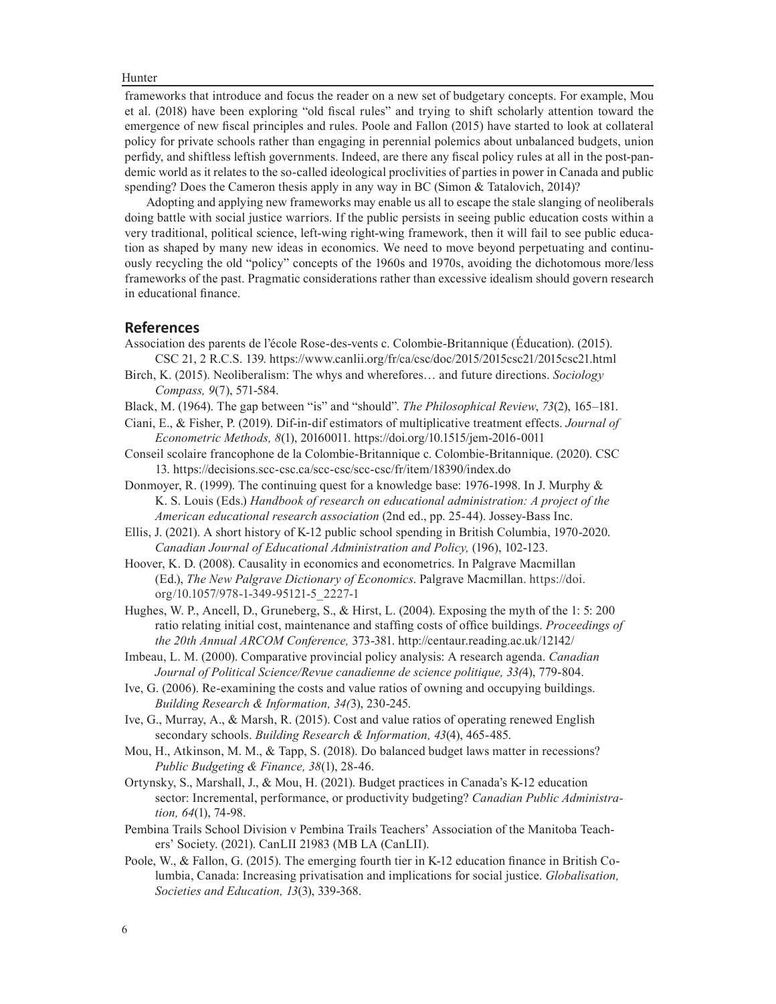Hunter

frameworks that introduce and focus the reader on a new set of budgetary concepts. For example, Mou et al. (2018) have been exploring "old fiscal rules" and trying to shift scholarly attention toward the emergence of new fiscal principles and rules. Poole and Fallon (2015) have started to look at collateral policy for private schools rather than engaging in perennial polemics about unbalanced budgets, union perfidy, and shiftless leftish governments. Indeed, are there any fiscal policy rules at all in the post-pandemic world as it relates to the so-called ideological proclivities of parties in power in Canada and public spending? Does the Cameron thesis apply in any way in BC (Simon & Tatalovich, 2014)?

Adopting and applying new frameworks may enable us all to escape the stale slanging of neoliberals doing battle with social justice warriors. If the public persists in seeing public education costs within a very traditional, political science, left-wing right-wing framework, then it will fail to see public education as shaped by many new ideas in economics. We need to move beyond perpetuating and continuously recycling the old "policy" concepts of the 1960s and 1970s, avoiding the dichotomous more/less frameworks of the past. Pragmatic considerations rather than excessive idealism should govern research in educational finance.

## **References**

- Association des parents de l'école Rose‑des‑vents c. Colombie‑Britannique (Éducation). (2015). CSC 21, 2 R.C.S. 139. https://www.canlii.org/fr/ca/csc/doc/2015/2015csc21/2015csc21.html
- Birch, K. (2015). Neoliberalism: The whys and wherefores… and future directions. *Sociology Compass, 9*(7), 571-584.
- Black, M. (1964). The gap between "is" and "should". *The Philosophical Review*, *73*(2), 165–181.
- Ciani, E., & Fisher, P. (2019). Dif-in-dif estimators of multiplicative treatment effects. *Journal of Econometric Methods, 8*(1), 20160011. https://doi.org/10.1515/jem-2016-0011
- Conseil scolaire francophone de la Colombie-Britannique c. Colombie-Britannique. (2020). CSC 13. https://decisions.scc-csc.ca/scc-csc/scc-csc/fr/item/18390/index.do
- Donmoyer, R. (1999). The continuing quest for a knowledge base: 1976-1998. In J. Murphy & K. S. Louis (Eds.) *Handbook of research on educational administration: A project of the American educational research association* (2nd ed., pp. 25-44). Jossey-Bass Inc.
- Ellis, J. (2021). A short history of K-12 public school spending in British Columbia, 1970-2020. *Canadian Journal of Educational Administration and Policy,* (196), 102-123.

Hoover, K. D. (2008). Causality in economics and econometrics. In Palgrave Macmillan (Ed.), *The New Palgrave Dictionary of Economics*. Palgrave Macmillan. https://doi. org/10.1057/978-1-349-95121-5\_2227-1

Hughes, W. P., Ancell, D., Gruneberg, S., & Hirst, L. (2004). Exposing the myth of the 1: 5: 200 ratio relating initial cost, maintenance and staffing costs of office buildings. *Proceedings of the 20th Annual ARCOM Conference,* 373-381. http://centaur.reading.ac.uk/12142/

Imbeau, L. M. (2000). Comparative provincial policy analysis: A research agenda. *Canadian Journal of Political Science/Revue canadienne de science politique, 33(*4), 779-804.

- Ive, G. (2006). Re-examining the costs and value ratios of owning and occupying buildings. *Building Research & Information, 34(*3), 230-245.
- Ive, G., Murray, A., & Marsh, R. (2015). Cost and value ratios of operating renewed English secondary schools. *Building Research & Information, 43*(4), 465-485.
- Mou, H., Atkinson, M. M., & Tapp, S. (2018). Do balanced budget laws matter in recessions? *Public Budgeting & Finance, 38*(1), 28-46.
- Ortynsky, S., Marshall, J., & Mou, H. (2021). Budget practices in Canada's K-12 education sector: Incremental, performance, or productivity budgeting? *Canadian Public Administration, 64*(1), 74-98.
- Pembina Trails School Division v Pembina Trails Teachers' Association of the Manitoba Teachers' Society. (2021). CanLII 21983 (MB LA (CanLII).
- Poole, W., & Fallon, G. (2015). The emerging fourth tier in K-12 education finance in British Columbia, Canada: Increasing privatisation and implications for social justice. *Globalisation, Societies and Education, 13*(3), 339-368.